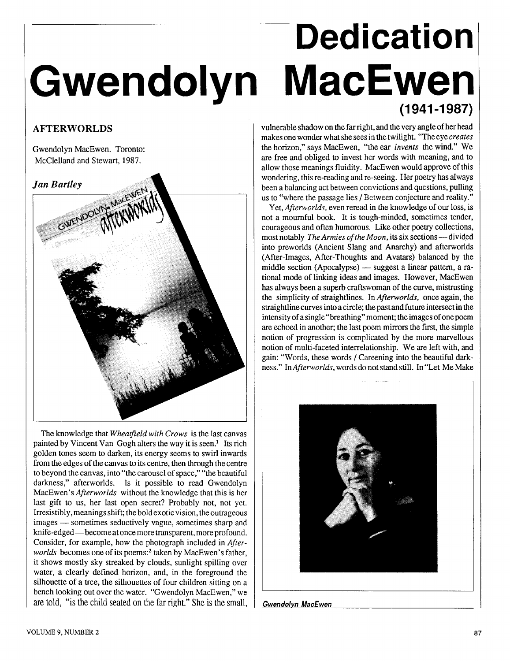## **Dedication**  Gwendolyn MacEwen

## **AFTERWORLDS**

Gwendolyn MacEwen. Toronto: McClelland and Stewart, 1987.

## **Jan Bartley**



The knowledge that *Wheatfield with Crows* is the last canvas painted by Vincent Van Gogh alters the way it is seen.' Its rich golden tones seem to darken, its energy seems to swirl inwards from the edges of the canvas to its centre, then through the centre to beyond the canvas, into "the carousel of space," "the beautiful darkness," afterworlds. Is it possible to read Gwendolyn MacEwen's *Afterworlds* without the knowledge that this is her last gift to us, her last open secret? Probably not, not yet. Irresistibly, meanings shift; the bold exotic vision, the outrageous last gift to us, her last open secret? Probably not, not yet.<br>Irresistibly, meanings shift; the bold exotic vision, the outrageous<br>images — sometimes seductively vague, sometimes sharp and<br>latifs deal the second have knife-edged-become at once more transparent, more profound. Consider, for example, how the photograph included in *Afterworlds* becomes one of its poems:<sup>2</sup> taken by MacEwen's father, it shows mostly sky streaked by clouds, sunlight spilling over water, a clearly defined horizon, and, in the foreground the silhouette of a tree, the silhouettes of four children sitting on a bench looking out over the water. "Gwendolyn MacEwen," we are told, "is the child seated on the far right." She is the small,

vulnerable shadow on the far right, and the very angle of her head makes one wonder what she sees in the twilight. "The eye *creates*  the horizon," says MacEwen, "the ear *invents* the wind." We are free and obliged to invest her words with meaning, and to allow those meanings fluidity. MacEwen would approve of this wondering, this re-reading and re-seeing. Her poetry has always been a balancing act between convictions and questions, pulling us to "where the passage lies / Between conjecture and reality."

Yet, *Afterworlds,* even reread in the knowledge of our loss, is not a mournful book. It is tough-minded, sometimes tender, courageous and often humorous. Like other poetry collections, most notably *The Armies of the Moon*, its six sections — divided into preworlds (Ancient Slang and Anarchy) and afterworlds (After-Images, After-Thoughts and Avatars) balanced by the into preworlds (Ancient Slang and Anarchy) and alterworlds<br>(After-Images, After-Thoughts and Avatars) balanced by the<br>middle section (Apocalypse) — suggest a linear pattern, a ra-<br>tional mode of linking ideas and images. H tional mode of linking ideas and images. However, MacEwen has always been a superb craftswoman of the curve, mistrusting the simplicity of straightlines. In *Afterworlds,* once again, the straightline curves into a circle; the past and future intersect in the intensity of a single "breathing" moment; the images of one poem are echoed in another; the last poem mirrors the first, the simple notion of progression is complicated by the more marvellous notion of multi-faceted interrelationship. We are left with, and gain: "Words, these words / Careening into the beautiful darkness." In *Afterworlds* words do not stand still. In "Let Me Make



<sup>1</sup>**Gwendolyn MacEwen** 

I

I